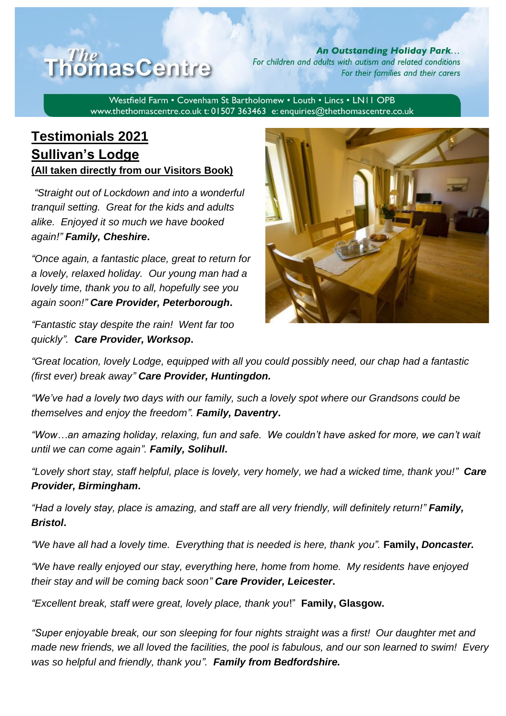

An Outstanding Holiday Park... For children and adults with autism and related conditions For their families and their carers

Westfield Farm • Covenham St Bartholomew • Louth • Lincs • LN11 OPB www.thethomascentre.co.uk t: 01507 363463 e: enquiries@thethomascentre.co.uk

## **Testimonials 2021 Sullivan's Lodge (All taken directly from our Visitors Book)**

*"Straight out of Lockdown and into a wonderful tranquil setting. Great for the kids and adults alike. Enjoyed it so much we have booked again!" Family, Cheshire***.**

*"Once again, a fantastic place, great to return for a lovely, relaxed holiday. Our young man had a lovely time, thank you to all, hopefully see you again soon!" Care Provider, Peterborough***.**

*"Fantastic stay despite the rain! Went far too quickly". Care Provider, Worksop***.**



*"Great location, lovely Lodge, equipped with all you could possibly need, our chap had a fantastic (first ever) break away" Care Provider, Huntingdon.*

*"We've had a lovely two days with our family, such a lovely spot where our Grandsons could be themselves and enjoy the freedom". Family, Daventry***.**

*"Wow…an amazing holiday, relaxing, fun and safe. We couldn't have asked for more, we can't wait until we can come again". Family, Solihull***.**

*"Lovely short stay, staff helpful, place is lovely, very homely, we had a wicked time, thank you!" Care Provider, Birmingham***.**

*"Had a lovely stay, place is amazing, and staff are all very friendly, will definitely return!" Family, Bristol***.**

*"We have all had a lovely time. Everything that is needed is here, thank you".* **Family,** *Doncaster.*

*"We have really enjoyed our stay, everything here, home from home. My residents have enjoyed their stay and will be coming back soon" Care Provider, Leicester***.**

*"Excellent break, staff were great, lovely place, thank you*!" **Family, Glasgow.**

*"Super enjoyable break, our son sleeping for four nights straight was a first! Our daughter met and made new friends, we all loved the facilities, the pool is fabulous, and our son learned to swim! Every was so helpful and friendly, thank you". Family from Bedfordshire.*